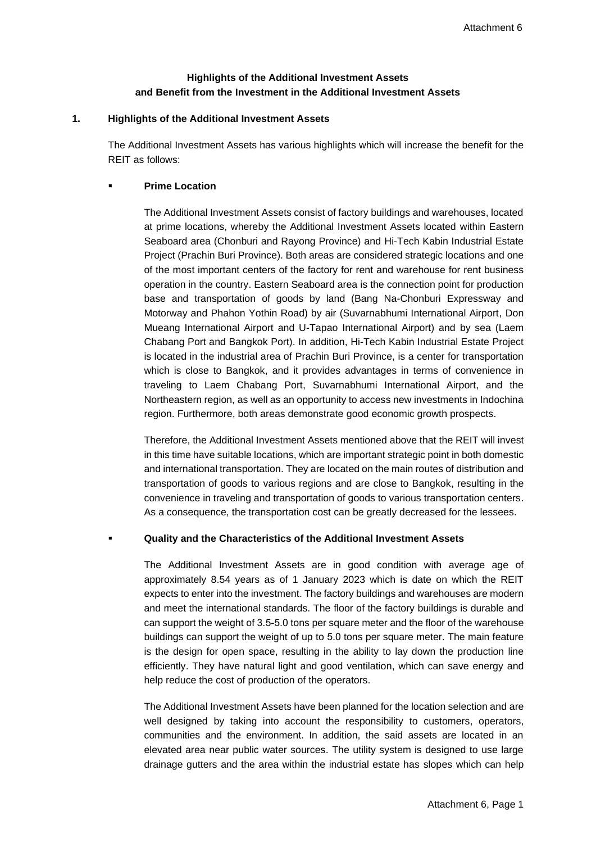## **Highlights of the Additional Investment Assets and Benefit from the Investment in the Additional Investment Assets**

#### **1. Highlights of the Additional Investment Assets**

The Additional Investment Assets has various highlights which will increase the benefit for the REIT as follows:

#### **Prime Location**

The Additional Investment Assets consist of factory buildings and warehouses, located at prime locations, whereby the Additional Investment Assets located within Eastern Seaboard area (Chonburi and Rayong Province) and Hi-Tech Kabin Industrial Estate Project (Prachin Buri Province). Both areas are considered strategic locations and one of the most important centers of the factory for rent and warehouse for rent business operation in the country. Eastern Seaboard area is the connection point for production base and transportation of goods by land (Bang Na-Chonburi Expressway and Motorway and Phahon Yothin Road) by air (Suvarnabhumi International Airport, Don Mueang International Airport and U-Tapao International Airport) and by sea (Laem Chabang Port and Bangkok Port). In addition, Hi-Tech Kabin Industrial Estate Project is located in the industrial area of Prachin Buri Province, is a center for transportation which is close to Bangkok, and it provides advantages in terms of convenience in traveling to Laem Chabang Port, Suvarnabhumi International Airport, and the Northeastern region, as well as an opportunity to access new investments in Indochina region. Furthermore, both areas demonstrate good economic growth prospects.

Therefore, the Additional Investment Assets mentioned above that the REIT will invest in this time have suitable locations, which are important strategic point in both domestic and international transportation. They are located on the main routes of distribution and transportation of goods to various regions and are close to Bangkok, resulting in the convenience in traveling and transportation of goods to various transportation centers. As a consequence, the transportation cost can be greatly decreased for the lessees.

#### **Quality and the Characteristics of the Additional Investment Assets**

The Additional Investment Assets are in good condition with average age of approximately 8.54 years as of 1 January 2023 which is date on which the REIT expects to enter into the investment. The factory buildings and warehouses are modern and meet the international standards. The floor of the factory buildings is durable and can support the weight of 3.5-5.0 tons per square meter and the floor of the warehouse buildings can support the weight of up to 5.0 tons per square meter. The main feature is the design for open space, resulting in the ability to lay down the production line efficiently. They have natural light and good ventilation, which can save energy and help reduce the cost of production of the operators.

The Additional Investment Assets have been planned for the location selection and are well designed by taking into account the responsibility to customers, operators, communities and the environment. In addition, the said assets are located in an elevated area near public water sources. The utility system is designed to use large drainage gutters and the area within the industrial estate has slopes which can help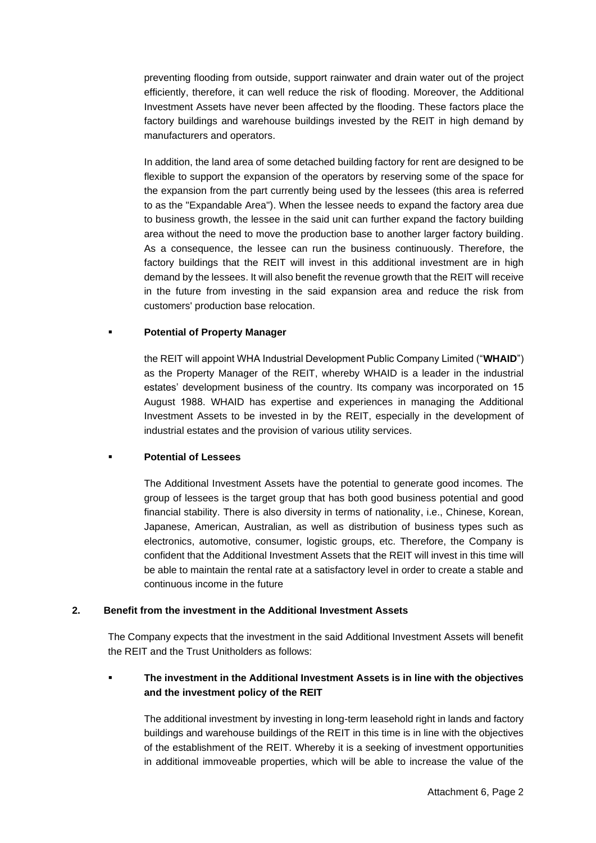preventing flooding from outside, support rainwater and drain water out of the project efficiently, therefore, it can well reduce the risk of flooding. Moreover, the Additional Investment Assets have never been affected by the flooding. These factors place the factory buildings and warehouse buildings invested by the REIT in high demand by manufacturers and operators.

In addition, the land area of some detached building factory for rent are designed to be flexible to support the expansion of the operators by reserving some of the space for the expansion from the part currently being used by the lessees (this area is referred to as the "Expandable Area"). When the lessee needs to expand the factory area due to business growth, the lessee in the said unit can further expand the factory building area without the need to move the production base to another larger factory building. As a consequence, the lessee can run the business continuously. Therefore, the factory buildings that the REIT will invest in this additional investment are in high demand by the lessees. It will also benefit the revenue growth that the REIT will receive in the future from investing in the said expansion area and reduce the risk from customers' production base relocation.

#### **Potential of Property Manager**

the REIT will appoint WHA Industrial Development Public Company Limited ("**WHAID**") as the Property Manager of the REIT, whereby WHAID is a leader in the industrial estates' development business of the country. Its company was incorporated on 15 August 1988. WHAID has expertise and experiences in managing the Additional Investment Assets to be invested in by the REIT, especially in the development of industrial estates and the provision of various utility services.

#### **Potential of Lessees**

The Additional Investment Assets have the potential to generate good incomes. The group of lessees is the target group that has both good business potential and good financial stability. There is also diversity in terms of nationality, i.e., Chinese, Korean, Japanese, American, Australian, as well as distribution of business types such as electronics, automotive, consumer, logistic groups, etc. Therefore, the Company is confident that the Additional Investment Assets that the REIT will invest in this time will be able to maintain the rental rate at a satisfactory level in order to create a stable and continuous income in the future

#### **2. Benefit from the investment in the Additional Investment Assets**

The Company expects that the investment in the said Additional Investment Assets will benefit the REIT and the Trust Unitholders as follows:

# ▪ **The investment in the Additional Investment Assets is in line with the objectives and the investment policy of the REIT**

The additional investment by investing in long-term leasehold right in lands and factory buildings and warehouse buildings of the REIT in this time is in line with the objectives of the establishment of the REIT. Whereby it is a seeking of investment opportunities in additional immoveable properties, which will be able to increase the value of the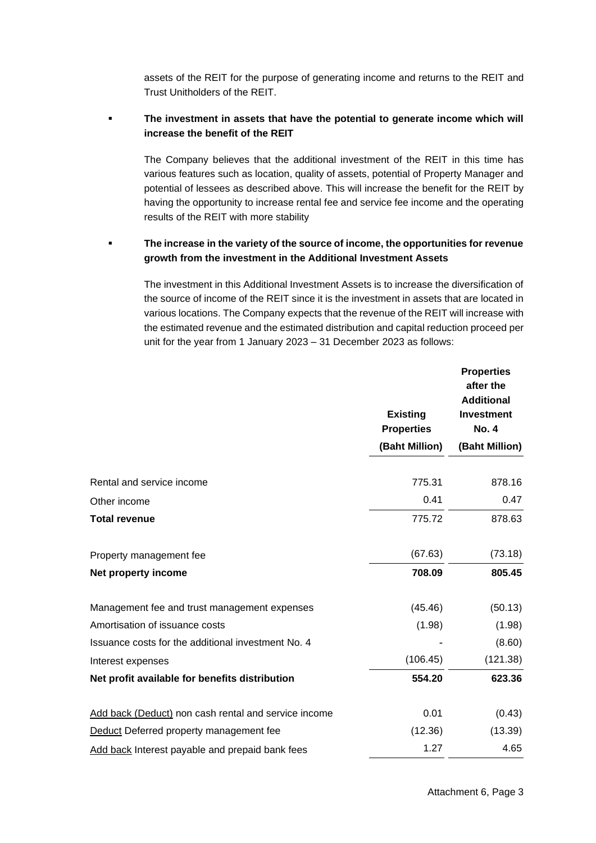assets of the REIT for the purpose of generating income and returns to the REIT and Trust Unitholders of the REIT.

## The investment in assets that have the potential to generate income which will **increase the benefit of the REIT**

The Company believes that the additional investment of the REIT in this time has various features such as location, quality of assets, potential of Property Manager and potential of lessees as described above. This will increase the benefit for the REIT by having the opportunity to increase rental fee and service fee income and the operating results of the REIT with more stability

### The increase in the variety of the source of income, the opportunities for revenue **growth from the investment in the Additional Investment Assets**

The investment in this Additional Investment Assets is to increase the diversification of the source of income of the REIT since it is the investment in assets that are located in various locations. The Company expects that the revenue of the REIT will increase with the estimated revenue and the estimated distribution and capital reduction proceed per unit for the year from 1 January 2023 – 31 December 2023 as follows:

|                                                      |                                      | <b>Properties</b><br>after the<br><b>Additional</b> |
|------------------------------------------------------|--------------------------------------|-----------------------------------------------------|
|                                                      | <b>Existing</b><br><b>Properties</b> | <b>Investment</b><br><b>No. 4</b>                   |
|                                                      | (Baht Million)                       | (Baht Million)                                      |
| Rental and service income                            | 775.31                               | 878.16                                              |
| Other income                                         | 0.41                                 | 0.47                                                |
| <b>Total revenue</b>                                 | 775.72                               | 878.63                                              |
| Property management fee                              | (67.63)                              | (73.18)                                             |
| Net property income                                  | 708.09                               | 805.45                                              |
| Management fee and trust management expenses         | (45.46)                              | (50.13)                                             |
| Amortisation of issuance costs                       | (1.98)                               | (1.98)                                              |
| Issuance costs for the additional investment No. 4   |                                      | (8.60)                                              |
| Interest expenses                                    | (106.45)                             | (121.38)                                            |
| Net profit available for benefits distribution       | 554.20                               | 623.36                                              |
| Add back (Deduct) non cash rental and service income | 0.01                                 | (0.43)                                              |
| Deduct Deferred property management fee              | (12.36)                              | (13.39)                                             |
| Add back Interest payable and prepaid bank fees      | 1.27                                 | 4.65                                                |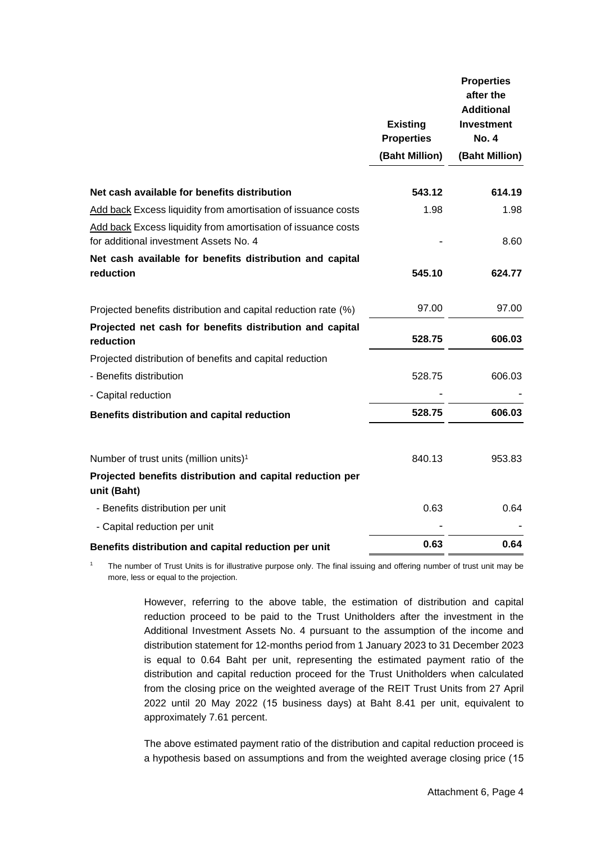|                                                                                                         |                                                        | <b>Properties</b><br>after the<br><b>Additional</b> |
|---------------------------------------------------------------------------------------------------------|--------------------------------------------------------|-----------------------------------------------------|
|                                                                                                         | <b>Existing</b><br><b>Properties</b><br>(Baht Million) | Investment<br><b>No. 4</b><br>(Baht Million)        |
|                                                                                                         |                                                        |                                                     |
|                                                                                                         |                                                        |                                                     |
| Net cash available for benefits distribution                                                            | 543.12                                                 | 614.19                                              |
| Add back Excess liquidity from amortisation of issuance costs                                           | 1.98                                                   | 1.98                                                |
| Add back Excess liquidity from amortisation of issuance costs<br>for additional investment Assets No. 4 |                                                        | 8.60                                                |
| Net cash available for benefits distribution and capital                                                |                                                        |                                                     |
| reduction                                                                                               | 545.10                                                 | 624.77                                              |
| Projected benefits distribution and capital reduction rate (%)                                          | 97.00                                                  | 97.00                                               |
| Projected net cash for benefits distribution and capital<br>reduction                                   | 528.75                                                 | 606.03                                              |
| Projected distribution of benefits and capital reduction                                                |                                                        |                                                     |
| - Benefits distribution                                                                                 | 528.75                                                 | 606.03                                              |
| - Capital reduction                                                                                     |                                                        |                                                     |
| Benefits distribution and capital reduction                                                             | 528.75                                                 | 606.03                                              |
| Number of trust units (million units) <sup>1</sup>                                                      | 840.13                                                 | 953.83                                              |
| Projected benefits distribution and capital reduction per<br>unit (Baht)                                |                                                        |                                                     |
| - Benefits distribution per unit                                                                        | 0.63                                                   | 0.64                                                |
| - Capital reduction per unit                                                                            |                                                        |                                                     |
| Benefits distribution and capital reduction per unit                                                    | 0.63                                                   | 0.64                                                |

<sup>1</sup> The number of Trust Units is for illustrative purpose only. The final issuing and offering number of trust unit may be more, less or equal to the projection.

> However, referring to the above table, the estimation of distribution and capital reduction proceed to be paid to the Trust Unitholders after the investment in the Additional Investment Assets No. 4 pursuant to the assumption of the income and distribution statement for 12-months period from 1 January 2023 to 31 December 2023 is equal to 0.64 Baht per unit, representing the estimated payment ratio of the distribution and capital reduction proceed for the Trust Unitholders when calculated from the closing price on the weighted average of the REIT Trust Units from 27 April 2022 until 20 May 2022 (15 business days) at Baht 8.41 per unit, equivalent to approximately 7.61 percent.

> The above estimated payment ratio of the distribution and capital reduction proceed is a hypothesis based on assumptions and from the weighted average closing price (15